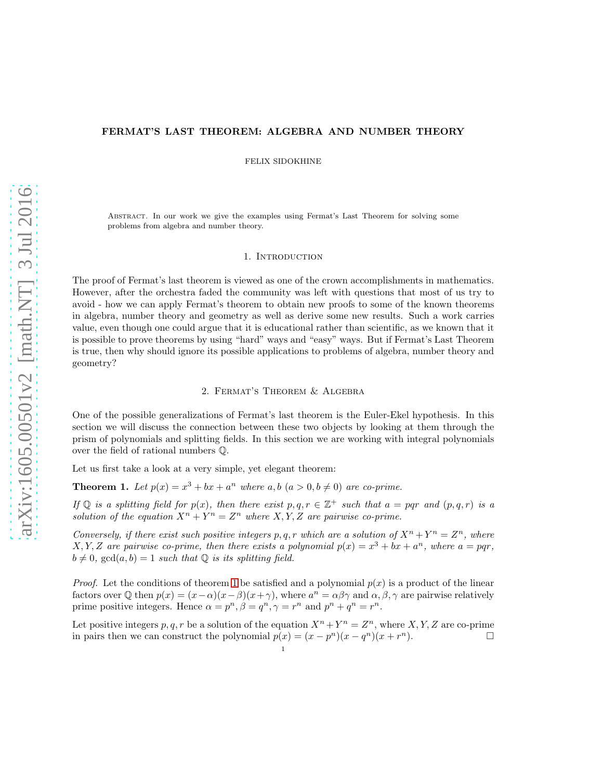## FERMAT'S LAST THEOREM: ALGEBRA AND NUMBER THEORY

FELIX SIDOKHINE

Abstract. In our work we give the examples using Fermat's Last Theorem for solving some problems from algebra and number theory.

#### 1. INTRODUCTION

The proof of Fermat's last theorem is viewed as one of the crown accomplishments in mathematics. However, after the orchestra faded the community was left with questions that most of us try to avoid - how we can apply Fermat's theorem to obtain new proofs to some of the known theorems in algebra, number theory and geometry as well as derive some new results. Such a work carries value, even though one could argue that it is educational rather than scientific, as we known that it is possible to prove theorems by using "hard" ways and "easy" ways. But if Fermat's Last Theorem is true, then why should ignore its possible applications to problems of algebra, number theory and geometry?

#### 2. Fermat's Theorem & Algebra

One of the possible generalizations of Fermat's last theorem is the Euler-Ekel hypothesis. In this section we will discuss the connection between these two objects by looking at them through the prism of polynomials and splitting fields. In this section we are working with integral polynomials over the field of rational numbers Q.

Let us first take a look at a very simple, yet elegant theorem:

<span id="page-0-0"></span>**Theorem 1.** Let  $p(x) = x^3 + bx + a^n$  where  $a, b \ (a > 0, b \neq 0)$  are co-prime.

*If*  $\mathbb{Q}$  *is a splitting field for*  $p(x)$ *, then there exist*  $p, q, r \in \mathbb{Z}^+$  *such that*  $a = pqr$  *and*  $(p, q, r)$  *is a* solution of the equation  $X^n + Y^n = Z^n$  where  $X, Y, Z$  are pairwise co-prime.

*Conversely, if there exist such positive integers*  $p, q, r$  *which are a solution of*  $X^n + Y^n = Z^n$ *, where* X, Y, Z are pairwise co-prime, then there exists a polynomial  $p(x) = x^3 + bx + a^n$ , where  $a = pqr$ ,  $b \neq 0$ ,  $gcd(a, b) = 1$  *such that*  $\mathbb Q$  *is its splitting field.* 

*Proof.* Let the conditions of theorem [1](#page-0-0) be satisfied and a polynomial  $p(x)$  is a product of the linear factors over  $\mathbb Q$  then  $p(x) = (x-\alpha)(x-\beta)(x+\gamma)$ , where  $a^n = \alpha\beta\gamma$  and  $\alpha, \beta, \gamma$  are pairwise relatively prime positive integers. Hence  $\alpha = p^n$ ,  $\beta = q^n$ ,  $\gamma = r^n$  and  $p^n + q^n = r^n$ .

Let positive integers  $p, q, r$  be a solution of the equation  $X^n + Y^n = Z^n$ , where  $X, Y, Z$  are co-prime in pairs then we can construct the polynomial  $p(x) = (x - p^n)(x - q^n)(x + r^n)$ .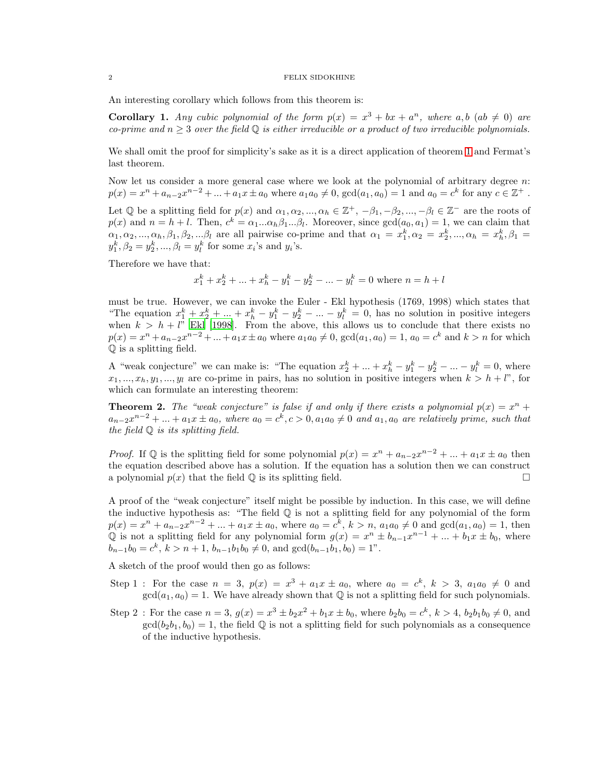#### $2\,$   $\,$   $\,$   $\,$   $\,$   $\,$  FELIX SIDOKHINE  $\,$

An interesting corollary which follows from this theorem is:

**Corollary 1.** Any cubic polynomial of the form  $p(x) = x^3 + bx + a^n$ , where  $a, b$  (ab  $\neq 0$ ) are *co-prime and*  $n \geq 3$  *over the field*  $\mathbb Q$  *is either irreducible or a product of two irreducible polynomials.* 

We shall omit the proof for simplicity's sake as it is a direct application of theorem [1](#page-0-0) and Fermat's last theorem.

Now let us consider a more general case where we look at the polynomial of arbitrary degree  $n$ :  $p(x) = x^{n} + a_{n-2}x^{n-2} + ... + a_1x \pm a_0$  where  $a_1a_0 \neq 0$ ,  $gcd(a_1, a_0) = 1$  and  $a_0 = c^k$  for any  $c \in \mathbb{Z}^+$ . Let Q be a splitting field for  $p(x)$  and  $\alpha_1, \alpha_2, ..., \alpha_h \in \mathbb{Z}^+, -\beta_1, -\beta_2, ..., -\beta_l \in \mathbb{Z}^-$  are the roots of  $p(x)$  and  $n = h + l$ . Then,  $c^k = \alpha_1 ... \alpha_h \beta_1 ... \beta_l$ . Moreover, since  $gcd(a_0, a_1) = 1$ , we can claim that  $\alpha_1, \alpha_2, ..., \alpha_h, \beta_1, \beta_2, ... \beta_l$  are all pairwise co-prime and that  $\alpha_1 = x_1^k, \alpha_2 = x_2^k, ..., \alpha_h = x_h^k, \beta_1 =$  $y_1^k, \beta_2 = y_2^k, ..., \beta_l = y_l^k$  for some  $x_i$ 's and  $y_i$ 's.

Therefore we have that:

$$
x_1^k + x_2^k + \dots + x_h^k - y_1^k - y_2^k - \dots - y_l^k = 0
$$
 where  $n = h + l$ 

must be true. However, we can invoke the Euler - Ekl hypothesis (1769, 1998) which states that "The equation  $x_1^k + x_2^k + \ldots + x_h^k - y_1^k - y_2^k - \ldots - y_l^k = 0$ , has no solution in positive integers when  $k > h + l$ " [Ekl \[1998\]](#page-5-0). From the above, this allows us to conclude that there exists no  $p(x) = x^{n} + a_{n-2}x^{n-2} + ... + a_1x \pm a_0$  where  $a_1a_0 \neq 0$ ,  $gcd(a_1, a_0) = 1$ ,  $a_0 = c^k$  and  $k > n$  for which Q is a splitting field.

A "weak conjecture" we can make is: "The equation  $x_2^k + \dots + x_h^k - y_1^k - y_2^k - \dots - y_l^k = 0$ , where  $x_1, ..., x_h, y_1, ..., y_l$  are co-prime in pairs, has no solution in positive integers when  $k > h + l$ ", for which can formulate an interesting theorem:

**Theorem 2.** The "weak conjecture" is false if and only if there exists a polynomial  $p(x) = x^n + y$  $a_{n-2}x^{n-2} + ... + a_1x \pm a_0$ , where  $a_0 = c^k$ ,  $c > 0$ ,  $a_1a_0 \neq 0$  and  $a_1$ ,  $a_0$  are relatively prime, such that *the field* Q *is its splitting field.*

*Proof.* If  $\mathbb Q$  is the splitting field for some polynomial  $p(x) = x^n + a_{n-2}x^{n-2} + ... + a_1x \pm a_0$  then the equation described above has a solution. If the equation has a solution then we can construct a polynomial  $p(x)$  that the field  $\mathbb Q$  is its splitting field.

A proof of the "weak conjecture" itself might be possible by induction. In this case, we will define the inductive hypothesis as: "The field  $\mathbb Q$  is not a splitting field for any polynomial of the form  $p(x) = x^{n} + a_{n-2}x^{n-2} + ... + a_1x \pm a_0$ , where  $a_0 = c^{\tilde{k}}$ ,  $k > n$ ,  $a_1a_0 \neq 0$  and  $gcd(a_1, a_0) = 1$ , then Q is not a splitting field for any polynomial form  $g(x) = x^n \pm b_{n-1}x^{n-1} + ... + b_1x \pm b_0$ , where  $b_{n-1}b_0 = c^k$ ,  $k > n+1$ ,  $b_{n-1}b_1b_0 \neq 0$ , and  $gcd(b_{n-1}b_1, b_0) = 1$ ".

A sketch of the proof would then go as follows:

- Step 1: For the case  $n = 3$ ,  $p(x) = x^3 + a_1x \pm a_0$ , where  $a_0 = c^k$ ,  $k > 3$ ,  $a_1a_0 \neq 0$  and  $gcd(a_1, a_0) = 1$ . We have already shown that  $\mathbb Q$  is not a splitting field for such polynomials.
- Step 2: For the case  $n = 3$ ,  $g(x) = x^3 \pm b_2 x^2 + b_1 x \pm b_0$ , where  $b_2 b_0 = c^k$ ,  $k > 4$ ,  $b_2 b_1 b_0 \neq 0$ , and  $gcd(b_2b_1, b_0) = 1$ , the field Q is not a splitting field for such polynomials as a consequence of the inductive hypothesis.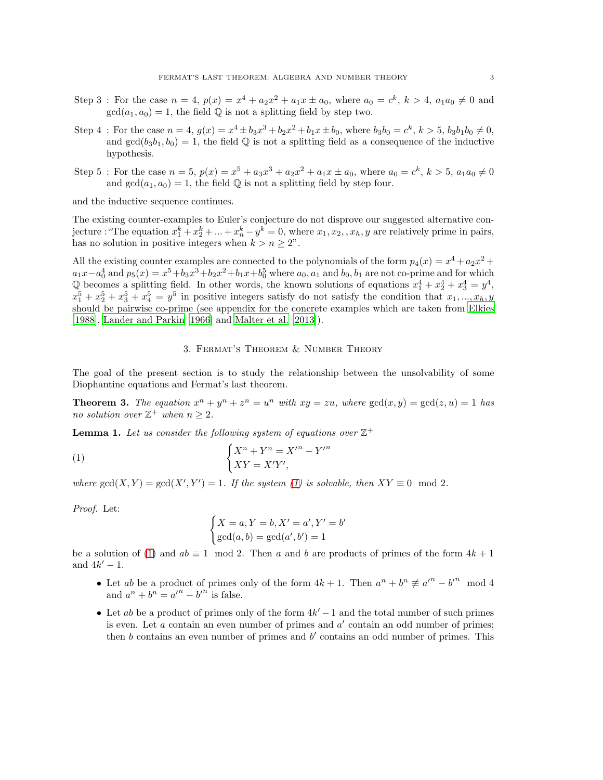- Step 3: For the case  $n = 4$ ,  $p(x) = x^4 + a_2x^2 + a_1x \pm a_0$ , where  $a_0 = c^k$ ,  $k > 4$ ,  $a_1a_0 \neq 0$  and  $gcd(a_1, a_0) = 1$ , the field Q is not a splitting field by step two.
- Step 4: For the case  $n = 4$ ,  $g(x) = x^4 \pm b_3 x^3 + b_2 x^2 + b_1 x \pm b_0$ , where  $b_3 b_0 = c^k$ ,  $k > 5$ ,  $b_3 b_1 b_0 \neq 0$ , and  $gcd(b_3b_1, b_0) = 1$ , the field  $\mathbb Q$  is not a splitting field as a consequence of the inductive hypothesis.
- Step 5: For the case  $n = 5$ ,  $p(x) = x^5 + a_3x^3 + a_2x^2 + a_1x \pm a_0$ , where  $a_0 = c^k$ ,  $k > 5$ ,  $a_1a_0 \neq 0$ and  $gcd(a_1, a_0) = 1$ , the field  $\mathbb Q$  is not a splitting field by step four.

and the inductive sequence continues.

The existing counter-examples to Euler's conjecture do not disprove our suggested alternative conjecture : "The equation  $x_1^k + x_2^k + \ldots + x_n^k - y^k = 0$ , where  $x_1, x_2, x_h, y$  are relatively prime in pairs, has no solution in positive integers when  $k > n \geq 2$ ".

All the existing counter examples are connected to the polynomials of the form  $p_4(x) = x^4 + a_2x^2 +$  $a_1x-a_0^4$  and  $p_5(x) = x^5+b_3x^3+b_2x^2+b_1x+b_0^5$  where  $a_0, a_1$  and  $b_0, b_1$  are not co-prime and for which Q becomes a splitting field. In other words, the known solutions of equations  $x_1^4 + x_2^4 + x_3^4 = y^4$ ,  $x_1^5 + x_2^5 + x_3^5 + x_4^5 = y^5$  in positive integers satisfy do not satisfy the condition that  $x_1, ..., x_h, y$ should be pairwise co-prime (see appendix for the concrete examples which are taken from [Elkies](#page-5-1) [\[1988](#page-5-1)], [Lander and Parkin \[1966](#page-5-2)] and [Malter et al. \[2013](#page-5-3)]).

# 3. Fermat's Theorem & Number Theory

The goal of the present section is to study the relationship between the unsolvability of some Diophantine equations and Fermat's last theorem.

<span id="page-2-2"></span>**Theorem 3.** The equation  $x^n + y^n + z^n = u^n$  with  $xy = zu$ , where  $gcd(x, y) = gcd(z, u) = 1$  has *no solution over*  $\mathbb{Z}^+$  *when*  $n \geq 2$ *.* 

<span id="page-2-1"></span>**Lemma 1.** Let us consider the following system of equations over  $\mathbb{Z}^+$ 

(1) 
$$
\begin{cases} X^n + Y^n = X'^n - Y'^n \\ XY = X'Y', \end{cases}
$$

*where*  $gcd(X, Y) = gcd(X', Y') = 1$ *. If the system [\(1\)](#page-2-0) is solvable, then*  $XY \equiv 0 \mod 2$ *.* 

*Proof.* Let:

<span id="page-2-0"></span>
$$
\begin{cases}\nX = a, Y = b, X' = a', Y' = b' \\
\gcd(a, b) = \gcd(a', b') = 1\n\end{cases}
$$

be a solution of [\(1\)](#page-2-0) and  $ab \equiv 1 \mod 2$ . Then a and b are products of primes of the form  $4k + 1$ and  $4k'-1$ .

- Let ab be a product of primes only of the form  $4k + 1$ . Then  $a^n + b^n \not\equiv a'^n b'^n \mod 4$ and  $a^n + b^n = a'^n - b'^n$  is false.
- Let ab be a product of primes only of the form  $4k' 1$  and the total number of such primes is even. Let  $\alpha$  contain an even number of primes and  $\alpha'$  contain an odd number of primes; then  $b$  contains an even number of primes and  $b'$  contains an odd number of primes. This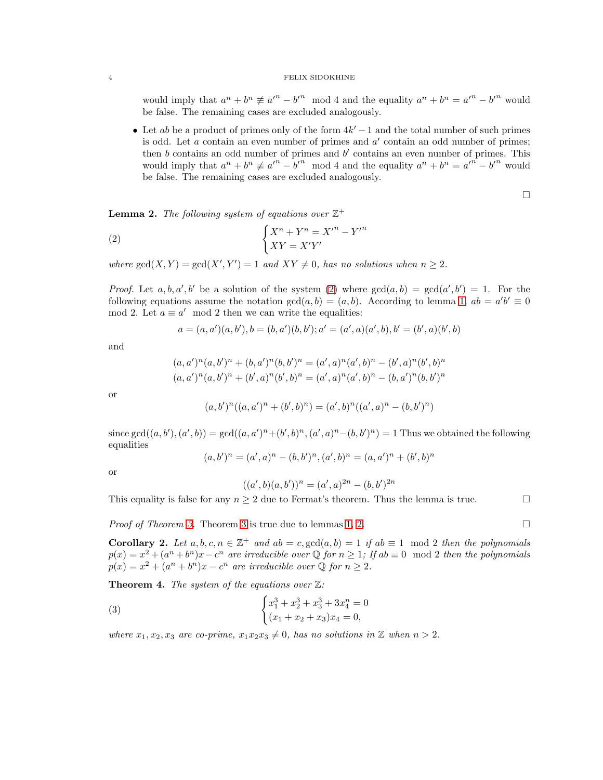#### 4 FELIX SIDOKHINE

would imply that  $a^n + b^n \not\equiv a'^n - b'^n \mod 4$  and the equality  $a^n + b^n = a'^n - b'^n$  would be false. The remaining cases are excluded analogously.

• Let ab be a product of primes only of the form  $4k' - 1$  and the total number of such primes is odd. Let  $\alpha$  contain an even number of primes and  $\alpha'$  contain an odd number of primes; then  $b$  contains an odd number of primes and  $b'$  contains an even number of primes. This would imply that  $a^n + b^n \not\equiv a'^n - b'^n \mod 4$  and the equality  $a^n + b^n = a'^n - b'^n$  would be false. The remaining cases are excluded analogously.

 $\Box$ 

<span id="page-3-1"></span>**Lemma 2.** The following system of equations over  $\mathbb{Z}^+$ 

(2) 
$$
\begin{cases} X^n + Y^n = X'^n - Y'^n \\ XY = X'Y' \end{cases}
$$

where  $gcd(X, Y) = gcd(X', Y') = 1$  and  $XY \neq 0$ , has no solutions when  $n \geq 2$ .

*Proof.* Let  $a, b, a', b'$  be a solution of the system [\(2\)](#page-3-0) where  $gcd(a, b) = gcd(a', b') = 1$ . For the following equations assume the notation  $gcd(a, b) = (a, b)$ . According to lemma [1,](#page-2-1)  $ab = a'b' \equiv 0$ mod 2. Let  $a \equiv a' \mod 2$  then we can write the equalities:

<span id="page-3-0"></span>
$$
a = (a, a')(a, b'), b = (b, a')(b, b'); a' = (a', a)(a', b), b' = (b', a)(b', b)
$$

and

$$
(a, a')^{n}(a, b')^{n} + (b, a')^{n}(b, b')^{n} = (a', a)^{n}(a', b)^{n} - (b', a)^{n}(b', b)^{n}
$$

$$
(a, a')^{n}(a, b')^{n} + (b', a)^{n}(b', b)^{n} = (a', a)^{n}(a', b)^{n} - (b, a')^{n}(b, b')^{n}
$$

or

$$
(a,b')^n((a,a')^n+(b',b)^n)=(a',b)^n((a',a)^n-(b,b')^n)
$$

since  $gcd((a, b'), (a', b)) = gcd((a, a')^n + (b', b)^n, (a', a)^n - (b, b')^n) = 1$  Thus we obtained the following equalities

$$
(a, b')n = (a', a)n - (b, b')n, (a', b)n = (a, a')n + (b', b)n
$$

or

<span id="page-3-2"></span>
$$
((a',b)(a,b'))^n = (a',a)^{2n} - (b,b')^{2n}
$$

This equality is false for any  $n \geq 2$  due to Fermat's theorem. Thus the lemma is true.

*Proof of Theorem [3.](#page-2-2)* Theorem [3](#page-2-2) is true due to lemmas [1,](#page-2-1) [2.](#page-3-1) □

Corollary 2. Let  $a, b, c, n \in \mathbb{Z}^+$  and  $ab = c$ ,  $gcd(a, b) = 1$  if  $ab \equiv 1 \mod 2$  then the polynomials  $p(x) = x^2 + (a^n + b^n)x - c^n$  are irreducible over Q for  $n \ge 1$ ; If  $ab \equiv 0 \mod 2$  then the polynomials  $p(x) = x^2 + (a^n + b^n)x - c^n$  are irreducible over  $\mathbb Q$  for  $n \geq 2$ .

Theorem 4. *The system of the equations over* Z*:*

(3) 
$$
\begin{cases} x_1^3 + x_2^3 + x_3^3 + 3x_4^n = 0\\ (x_1 + x_2 + x_3)x_4 = 0, \end{cases}
$$

*where*  $x_1, x_2, x_3$  *are co-prime,*  $x_1x_2x_3 \neq 0$ *, has no solutions in* Z *when*  $n > 2$ *.*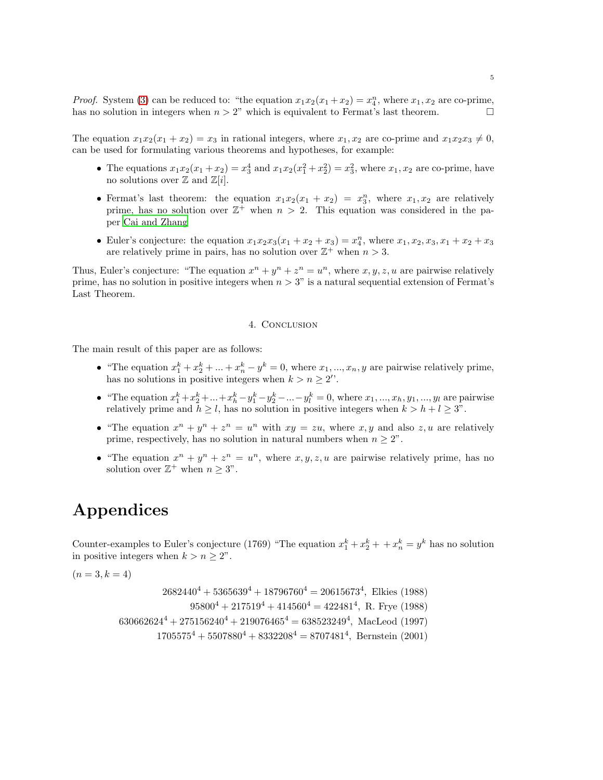*Proof.* System [\(3\)](#page-3-2) can be reduced to: "the equation  $x_1x_2(x_1+x_2) = x_4^n$ , where  $x_1, x_2$  are co-prime, has no solution in integers when  $n > 2$ " which is equivalent to Fermat's last theorem.

The equation  $x_1x_2(x_1 + x_2) = x_3$  in rational integers, where  $x_1, x_2$  are co-prime and  $x_1x_2x_3 \neq 0$ , can be used for formulating various theorems and hypotheses, for example:

- The equations  $x_1x_2(x_1+x_2) = x_3^4$  and  $x_1x_2(x_1^2+x_2^2) = x_3^2$ , where  $x_1, x_2$  are co-prime, have no solutions over  $\mathbb{Z}$  and  $\mathbb{Z}[i]$ .
- Fermat's last theorem: the equation  $x_1x_2(x_1 + x_2) = x_3^n$ , where  $x_1, x_2$  are relatively prime, has no solution over  $\mathbb{Z}^+$  when  $n > 2$ . This equation was considered in the paper [Cai and Zhang](#page-5-4)
- Euler's conjecture: the equation  $x_1x_2x_3(x_1+x_2+x_3) = x_4^n$ , where  $x_1, x_2, x_3, x_1+x_2+x_3$ are relatively prime in pairs, has no solution over  $\mathbb{Z}^+$  when  $n > 3$ .

Thus, Euler's conjecture: "The equation  $x^n + y^n + z^n = u^n$ , where  $x, y, z, u$  are pairwise relatively prime, has no solution in positive integers when  $n > 3$ " is a natural sequential extension of Fermat's Last Theorem.

## 4. CONCLUSION

The main result of this paper are as follows:

- "The equation  $x_1^k + x_2^k + \ldots + x_n^k y^k = 0$ , where  $x_1, \ldots, x_n, y$  are pairwise relatively prime, has no solutions in positive integers when  $k > n \geq 2'$ .
- "The equation  $x_1^k + x_2^k + ... + x_h^k y_1^k y_2^k ... y_l^k = 0$ , where  $x_1, ..., x_h, y_1, ..., y_l$  are pairwise relatively prime and  $h \geq l$ , has no solution in positive integers when  $k > h + l \geq 3$ ".
- "The equation  $x^n + y^n + z^n = u^n$  with  $xy = zu$ , where x, y and also z, u are relatively prime, respectively, has no solution in natural numbers when  $n \geq 2$ ".
- "The equation  $x^n + y^n + z^n = u^n$ , where  $x, y, z, u$  are pairwise relatively prime, has no solution over  $\mathbb{Z}^+$  when  $n \geq 3$ ".

# Appendices

Counter-examples to Euler's conjecture (1769) "The equation  $x_1^k + x_2^k + x_n^k = y^k$  has no solution in positive integers when  $k > n \geq 2$ ".

 $(n = 3, k = 4)$ 

 $2682440^4 + 5365639^4 + 18796760^4 = 20615673^4$ , Elkies (1988)  $95800^4 + 217519^4 + 414560^4 = 422481^4$ , R. Frye (1988)  $630662624^4 + 275156240^4 + 219076465^4 = 638523249^4$ , MacLeod (1997)  $1705575^4 + 5507880^4 + 8332208^4 = 8707481^4$ , Bernstein (2001)